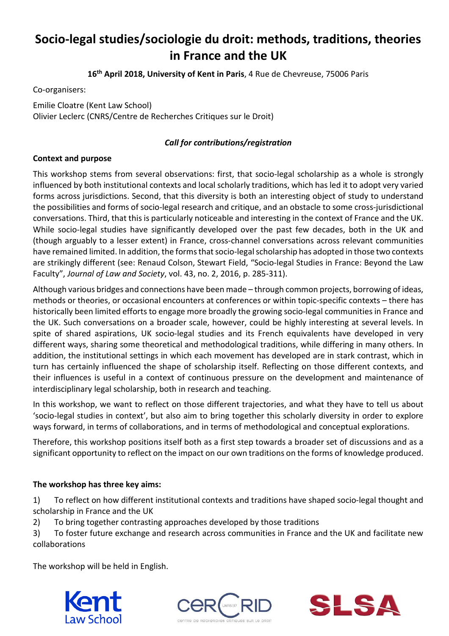# **Socio-legal studies/sociologie du droit: methods, traditions, theories in France and the UK**

**16th April 2018, University of Kent in Paris**, 4 Rue de Chevreuse, 75006 Paris

Co-organisers:

Emilie Cloatre (Kent Law School) Olivier Leclerc (CNRS/Centre de Recherches Critiques sur le Droit)

## *Call for contributions/registration*

## **Context and purpose**

This workshop stems from several observations: first, that socio-legal scholarship as a whole is strongly influenced by both institutional contexts and local scholarly traditions, which has led it to adopt very varied forms across jurisdictions. Second, that this diversity is both an interesting object of study to understand the possibilities and forms of socio-legal research and critique, and an obstacle to some cross-jurisdictional conversations. Third, that this is particularly noticeable and interesting in the context of France and the UK. While socio-legal studies have significantly developed over the past few decades, both in the UK and (though arguably to a lesser extent) in France, cross-channel conversations across relevant communities have remained limited. In addition, the forms that socio-legal scholarship has adopted in those two contexts are strikingly different (see: Renaud Colson, Stewart Field, "Socio-legal Studies in France: Beyond the Law Faculty", *Journal of Law and Society*, vol. 43, no. 2, 2016, p. 285-311).

Although various bridges and connections have been made – through common projects, borrowing of ideas, methods or theories, or occasional encounters at conferences or within topic-specific contexts – there has historically been limited efforts to engage more broadly the growing socio-legal communities in France and the UK. Such conversations on a broader scale, however, could be highly interesting at several levels. In spite of shared aspirations, UK socio-legal studies and its French equivalents have developed in very different ways, sharing some theoretical and methodological traditions, while differing in many others. In addition, the institutional settings in which each movement has developed are in stark contrast, which in turn has certainly influenced the shape of scholarship itself. Reflecting on those different contexts, and their influences is useful in a context of continuous pressure on the development and maintenance of interdisciplinary legal scholarship, both in research and teaching.

In this workshop, we want to reflect on those different trajectories, and what they have to tell us about 'socio-legal studies in context', but also aim to bring together this scholarly diversity in order to explore ways forward, in terms of collaborations, and in terms of methodological and conceptual explorations.

Therefore, this workshop positions itself both as a first step towards a broader set of discussions and as a significant opportunity to reflect on the impact on our own traditions on the forms of knowledge produced.

## **The workshop has three key aims:**

1) To reflect on how different institutional contexts and traditions have shaped socio-legal thought and scholarship in France and the UK

2) To bring together contrasting approaches developed by those traditions

3) To foster future exchange and research across communities in France and the UK and facilitate new collaborations

The workshop will be held in English.